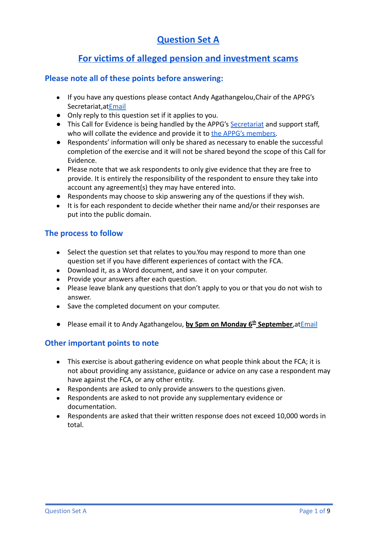## **Question Set A**

## **For victims of alleged pension and investment scams**

#### **Please note all of these points before answering:**

- If you have any questions please contact Andy Agathangelou,Chair of the APPG's Secretariat,a[tEmail](mailto:andy.agathangelou@transparencytaskforce.org?subject=%20My%20submission%20to%20the%20Call%20for%20Evidence%20about%20the%20FCA)
- Only reply to this question set if it applies to you.
- This Call for Evidence is being handled by the APPG's [Secretariat](https://appgonpersonalbankingandfairerfinancialservices.org/about-us/secretariat) and support staff, who will collate the evidence and provide it to the [APPG's members.](https://appgonpersonalbankingandfairerfinancialservices.org/about-us/members)
- Respondents' information will only be shared as necessary to enable the successful completion of the exercise and it will not be shared beyond the scope of this Call for Evidence.
- Please note that we ask respondents to only give evidence that they are free to provide. It is entirely the responsibility of the respondent to ensure they take into account any agreement(s) they may have entered into.
- Respondents may choose to skip answering any of the questions if they wish.
- It is for each respondent to decide whether their name and/or their responses are put into the public domain.

### **The process to follow**

- Select the question set that relates to you.You may respond to more than one question set if you have different experiences of contact with the FCA.
- Download it, as a Word document, and save it on your computer.
- Provide your answers after each question.
- Please leave blank any questions that don't apply to you or that you do not wish to answer.
- Save the completed document on your computer.
- Please email it to Andy Agathangelou, **by 5pm on Monday 6 th September**,a[tEmail](mailto:andy.agathangelou@transparencytaskforce.org?subject=%20My%20submission%20to%20the%20Call%20for%20Evidence%20about%20the%20FCA)

### **Other important points to note**

- This exercise is about gathering evidence on what people think about the FCA; it is not about providing any assistance, guidance or advice on any case a respondent may have against the FCA, or any other entity.
- Respondents are asked to only provide answers to the questions given.
- Respondents are asked to not provide any supplementary evidence or documentation.
- Respondents are asked that their written response does not exceed 10,000 words in total.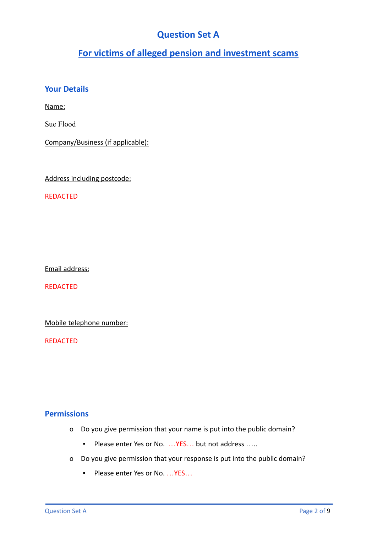# **Question Set A**

# **For victims of alleged pension and investment scams**

## **Your Details**

Name:

Sue Flood

Company/Business (if applicable):

Address including postcode:

REDACTED

Email address:

REDACTED

Mobile telephone number:

REDACTED

### **Permissions**

- o Do you give permission that your name is put into the public domain?
	- Please enter Yes or No. ... YES... but not address .....
- o Do you give permission that your response is put into the public domain?
	- Please enter Yes or No. ... YES...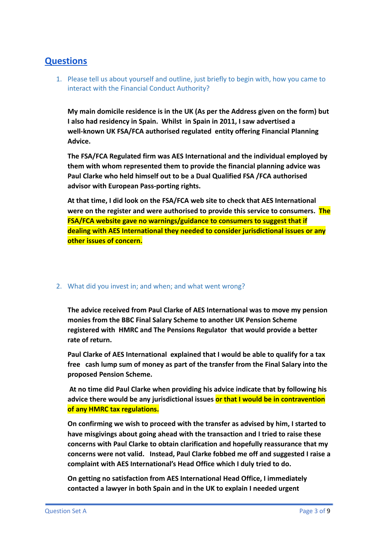## **Questions**

1. Please tell us about yourself and outline, just briefly to begin with, how you came to interact with the Financial Conduct Authority?

**My main domicile residence is in the UK (As per the Address given on the form) but I also had residency in Spain. Whilst in Spain in 2011, I saw advertised a well-known UK FSA/FCA authorised regulated entity offering Financial Planning Advice.**

**The FSA/FCA Regulated firm was AES International and the individual employed by them with whom represented them to provide the financial planning advice was Paul Clarke who held himself out to be a Dual Qualified FSA /FCA authorised advisor with European Pass-porting rights.**

**At that time, I did look on the FSA/FCA web site to check that AES International were on the register and were authorised to provide this service to consumers. The FSA/FCA website gave no warnings/guidance to consumers to suggest that if dealing with AES International they needed to consider jurisdictional issues or any other issues of concern.**

#### 2. What did you invest in; and when; and what went wrong?

**The advice received from Paul Clarke of AES International was to move my pension monies from the BBC Final Salary Scheme to another UK Pension Scheme registered with HMRC and The Pensions Regulator that would provide a better rate of return.**

**Paul Clarke of AES International explained that I would be able to qualify for a tax free cash lump sum of money as part of the transfer from the Final Salary into the proposed Pension Scheme.**

**At no time did Paul Clarke when providing his advice indicate that by following his advice there would be any jurisdictional issues or that I would be in contravention of any HMRC tax regulations.**

**On confirming we wish to proceed with the transfer as advised by him, I started to have misgivings about going ahead with the transaction and I tried to raise these concerns with Paul Clarke to obtain clarification and hopefully reassurance that my concerns were not valid. Instead, Paul Clarke fobbed me off and suggested I raise a complaint with AES International's Head Office which I duly tried to do.**

**On getting no satisfaction from AES International Head Office, I immediately contacted a lawyer in both Spain and in the UK to explain I needed urgent**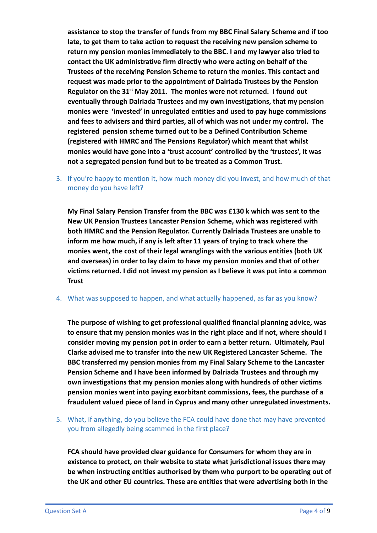**assistance to stop the transfer of funds from my BBC Final Salary Scheme and if too late, to get them to take action to request the receiving new pension scheme to return my pension monies immediately to the BBC. I and my lawyer also tried to contact the UK administrative firm directly who were acting on behalf of the Trustees of the receiving Pension Scheme to return the monies. This contact and request was made prior to the appointment of Dalriada Trustees by the Pension Regulator on the 31st May 2011. The monies were not returned. I found out eventually through Dalriada Trustees and my own investigations, that my pension monies were 'invested' in unregulated entities and used to pay huge commissions and fees to advisers and third parties, all of which was not under my control. The registered pension scheme turned out to be a Defined Contribution Scheme (registered with HMRC and The Pensions Regulator) which meant that whilst monies would have gone into a 'trust account' controlled by the 'trustees', it was not a segregated pension fund but to be treated as a Common Trust.**

3. If you're happy to mention it, how much money did you invest, and how much of that money do you have left?

**My Final Salary Pension Transfer from the BBC was £130 k which was sent to the New UK Pension Trustees Lancaster Pension Scheme, which was registered with both HMRC and the Pension Regulator. Currently Dalriada Trustees are unable to inform me how much, if any is left after 11 years of trying to track where the monies went, the cost of their legal wranglings with the various entities (both UK and overseas) in order to lay claim to have my pension monies and that of other victims returned. I did not invest my pension as I believe it was put into a common Trust**

4. What was supposed to happen, and what actually happened, as far as you know?

**The purpose of wishing to get professional qualified financial planning advice, was to ensure that my pension monies was in the right place and if not, where should I consider moving my pension pot in order to earn a better return. Ultimately, Paul Clarke advised me to transfer into the new UK Registered Lancaster Scheme. The BBC transferred my pension monies from my Final Salary Scheme to the Lancaster Pension Scheme and I have been informed by Dalriada Trustees and through my own investigations that my pension monies along with hundreds of other victims pension monies went into paying exorbitant commissions, fees, the purchase of a fraudulent valued piece of land in Cyprus and many other unregulated investments.**

5. What, if anything, do you believe the FCA could have done that may have prevented you from allegedly being scammed in the first place?

**FCA should have provided clear guidance for Consumers for whom they are in existence to protect, on their website to state what jurisdictional issues there may be when instructing entities authorised by them who purport to be operating out of the UK and other EU countries. These are entities that were advertising both in the**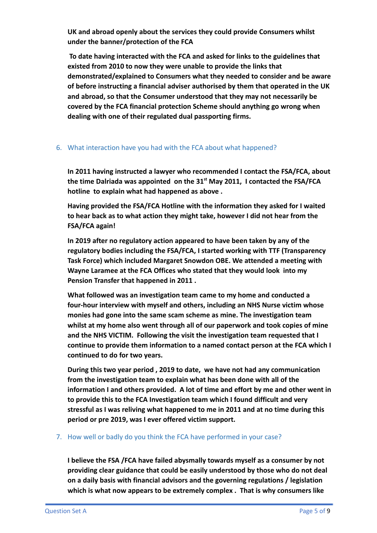**UK and abroad openly about the services they could provide Consumers whilst under the banner/protection of the FCA**

**To date having interacted with the FCA and asked for links to the guidelines that existed from 2010 to now they were unable to provide the links that demonstrated/explained to Consumers what they needed to consider and be aware of before instructing a financial adviser authorised by them that operated in the UK and abroad, so that the Consumer understood that they may not necessarily be covered by the FCA financial protection Scheme should anything go wrong when dealing with one of their regulated dual passporting firms.**

#### 6. What interaction have you had with the FCA about what happened?

**In 2011 having instructed a lawyer who recommended I contact the FSA/FCA, about the time Dalriada was appointed on the 31st May 2011, I contacted the FSA/FCA hotline to explain what had happened as above .**

**Having provided the FSA/FCA Hotline with the information they asked for I waited to hear back as to what action they might take, however I did not hear from the FSA/FCA again!**

**In 2019 after no regulatory action appeared to have been taken by any of the regulatory bodies including the FSA/FCA, I started working with TTF (Transparency Task Force) which included Margaret Snowdon OBE. We attended a meeting with Wayne Laramee at the FCA Offices who stated that they would look into my Pension Transfer that happened in 2011 .**

**What followed was an investigation team came to my home and conducted a four-hour interview with myself and others, including an NHS Nurse victim whose monies had gone into the same scam scheme as mine. The investigation team whilst at my home also went through all of our paperwork and took copies of mine and the NHS VICTIM. Following the visit the investigation team requested that I continue to provide them information to a named contact person at the FCA which I continued to do for two years.**

**During this two year period , 2019 to date, we have not had any communication from the investigation team to explain what has been done with all of the information I and others provided. A lot of time and effort by me and other went in to provide this to the FCA Investigation team which I found difficult and very stressful as I was reliving what happened to me in 2011 and at no time during this period or pre 2019, was I ever offered victim support.**

#### 7. How well or badly do you think the FCA have performed in your case?

**I believe the FSA /FCA have failed abysmally towards myself as a consumer by not providing clear guidance that could be easily understood by those who do not deal on a daily basis with financial advisors and the governing regulations / legislation which is what now appears to be extremely complex . That is why consumers like**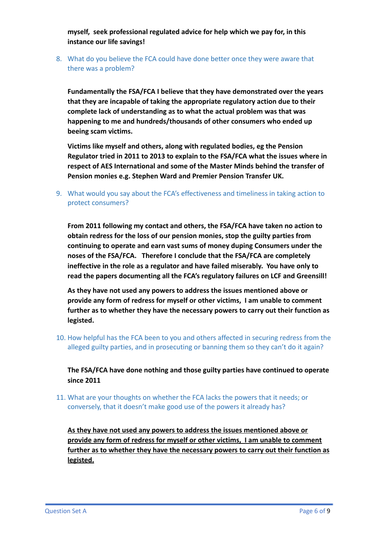**myself, seek professional regulated advice for help which we pay for, in this instance our life savings!**

8. What do you believe the FCA could have done better once they were aware that there was a problem?

**Fundamentally the FSA/FCA I believe that they have demonstrated over the years that they are incapable of taking the appropriate regulatory action due to their complete lack of understanding as to what the actual problem was that was happening to me and hundreds/thousands of other consumers who ended up beeing scam victims.**

**Victims like myself and others, along with regulated bodies, eg the Pension Regulator tried in 2011 to 2013 to explain to the FSA/FCA what the issues where in respect of AES International and some of the Master Minds behind the transfer of Pension monies e.g. Stephen Ward and Premier Pension Transfer UK.**

9. What would you say about the FCA's effectiveness and timeliness in taking action to protect consumers?

**From 2011 following my contact and others, the FSA/FCA have taken no action to obtain redress for the loss of our pension monies, stop the guilty parties from continuing to operate and earn vast sums of money duping Consumers under the noses of the FSA/FCA. Therefore I conclude that the FSA/FCA are completely ineffective in the role as a regulator and have failed miserably. You have only to read the papers documenting all the FCA's regulatory failures on LCF and Greensill!**

**As they have not used any powers to address the issues mentioned above or provide any form of redress for myself or other victims, I am unable to comment further as to whether they have the necessary powers to carry out their function as legisted.**

10. How helpful has the FCA been to you and others affected in securing redress from the alleged guilty parties, and in prosecuting or banning them so they can't do it again?

**The FSA/FCA have done nothing and those guilty parties have continued to operate since 2011**

11. What are your thoughts on whether the FCA lacks the powers that it needs; or conversely, that it doesn't make good use of the powers it already has?

**As they have not used any powers to address the issues mentioned above or provide any form of redress for myself or other victims, I am unable to comment further as to whether they have the necessary powers to carry out their function as legisted.**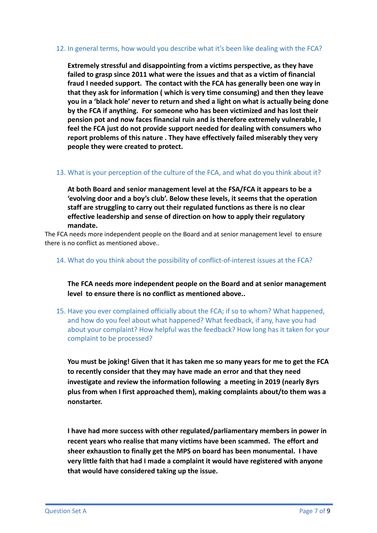#### 12. In general terms, how would you describe what it's been like dealing with the FCA?

**Extremely stressful and disappointing from a victims perspective, as they have failed to grasp since 2011 what were the issues and that as a victim of financial fraud I needed support. The contact with the FCA has generally been one way in that they ask for information ( which is very time consuming) and then they leave you in a 'black hole' never to return and shed a light on what is actually being done by the FCA if anything. For someone who has been victimized and has lost their pension pot and now faces financial ruin and is therefore extremely vulnerable, I feel the FCA just do not provide support needed for dealing with consumers who report problems of this nature . They have effectively failed miserably they very people they were created to protect.**

#### 13. What is your perception of the culture of the FCA, and what do you think about it?

**At both Board and senior management level at the FSA/FCA it appears to be a 'evolving door and a boy's club'. Below these levels, it seems that the operation staff are struggling to carry out their regulated functions as there is no clear effective leadership and sense of direction on how to apply their regulatory mandate.**

The FCA needs more independent people on the Board and at senior management level to ensure there is no conflict as mentioned above..

#### 14. What do you think about the possibility of conflict-of-interest issues at the FCA?

**The FCA needs more independent people on the Board and at senior management level to ensure there is no conflict as mentioned above..**

15. Have you ever complained officially about the FCA; if so to whom? What happened, and how do you feel about what happened? What feedback, if any, have you had about your complaint? How helpful was the feedback? How long has it taken for your complaint to be processed?

**You must be joking! Given that it has taken me so many years for me to get the FCA to recently consider that they may have made an error and that they need investigate and review the information following a meeting in 2019 (nearly 8yrs plus from when I first approached them), making complaints about/to them was a nonstarter.**

**I have had more success with other regulated/parliamentary members in power in recent years who realise that many victims have been scammed. The effort and sheer exhaustion to finally get the MPS on board has been monumental. I have very little faith that had I made a complaint it would have registered with anyone that would have considered taking up the issue.**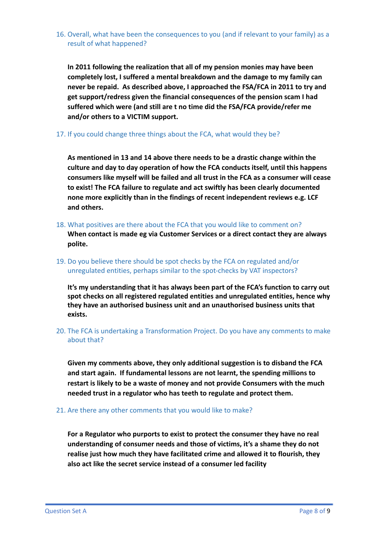16. Overall, what have been the consequences to you (and if relevant to your family) as a result of what happened?

**In 2011 following the realization that all of my pension monies may have been completely lost, I suffered a mental breakdown and the damage to my family can never be repaid. As described above, I approached the FSA/FCA in 2011 to try and get support/redress given the financial consequences of the pension scam I had suffered which were (and still are t no time did the FSA/FCA provide/refer me and/or others to a VICTIM support.**

17. If you could change three things about the FCA, what would they be?

**As mentioned in 13 and 14 above there needs to be a drastic change within the culture and day to day operation of how the FCA conducts itself, until this happens consumers like myself will be failed and all trust in the FCA as a consumer will cease to exist! The FCA failure to regulate and act swiftly has been clearly documented none more explicitly than in the findings of recent independent reviews e.g. LCF and others.**

- 18. What positives are there about the FCA that you would like to comment on? **When contact is made eg via Customer Services or a direct contact they are always polite.**
- 19. Do you believe there should be spot checks by the FCA on regulated and/or unregulated entities, perhaps similar to the spot-checks by VAT inspectors?

**It's my understanding that it has always been part of the FCA's function to carry out spot checks on all registered regulated entities and unregulated entities, hence why they have an authorised business unit and an unauthorised business units that exists.**

20. The FCA is undertaking a Transformation Project. Do you have any comments to make about that?

**Given my comments above, they only additional suggestion is to disband the FCA and start again. If fundamental lessons are not learnt, the spending millions to restart is likely to be a waste of money and not provide Consumers with the much needed trust in a regulator who has teeth to regulate and protect them.**

21. Are there any other comments that you would like to make?

**For a Regulator who purports to exist to protect the consumer they have no real understanding of consumer needs and those of victims, it's a shame they do not realise just how much they have facilitated crime and allowed it to flourish, they also act like the secret service instead of a consumer led facility**